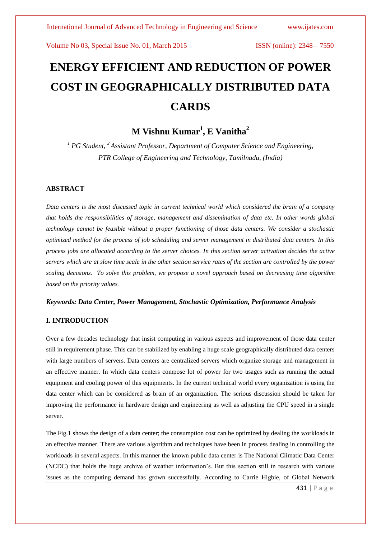# **ENERGY EFFICIENT AND REDUCTION OF POWER COST IN GEOGRAPHICALLY DISTRIBUTED DATA CARDS**

# **M Vishnu Kumar<sup>1</sup> , E Vanitha<sup>2</sup>**

*<sup>1</sup> PG Student, <sup>2</sup>Assistant Professor, Department of Computer Science and Engineering, PTR College of Engineering and Technology, Tamilnadu, (India)* 

#### **ABSTRACT**

*Data centers is the most discussed topic in current technical world which considered the brain of a company that holds the responsibilities of storage, management and dissemination of data etc. In other words global technology cannot be feasible without a proper functioning of those data centers. We consider a stochastic optimized method for the process of job scheduling and server management in distributed data centers. In this process jobs are allocated according to the server choices. In this section server activation decides the active servers which are at slow time scale in the other section service rates of the section are controlled by the power scaling decisions. To solve this problem, we propose a novel approach based on decreasing time algorithm based on the priority values.*

#### *Keywords: Data Center, Power Management, Stochastic Optimization, Performance Analysis*

### **I. INTRODUCTION**

Over a few decades technology that insist computing in various aspects and improvement of those data center still in requirement phase. This can be stabilized by enabling a huge scale geographically distributed data centers with large numbers of servers. Data centers are centralized servers which organize storage and management in an effective manner. In which data centers compose lot of power for two usages such as running the actual equipment and cooling power of this equipments. In the current technical world every organization is using the data center which can be considered as brain of an organization. The serious discussion should be taken for improving the performance in hardware design and engineering as well as adjusting the CPU speed in a single server.

The Fig.1 shows the design of a data center; the consumption cost can be optimized by dealing the workloads in an effective manner. There are various algorithm and techniques have been in process dealing in controlling the workloads in several aspects. In this manner the known public data center is The National Climatic Data Center (NCDC) that holds the huge archive of weather information's. But this section still in research with various issues as the computing demand has grown successfully. According to Carrie Higbie, of Global Network

431 | P a g e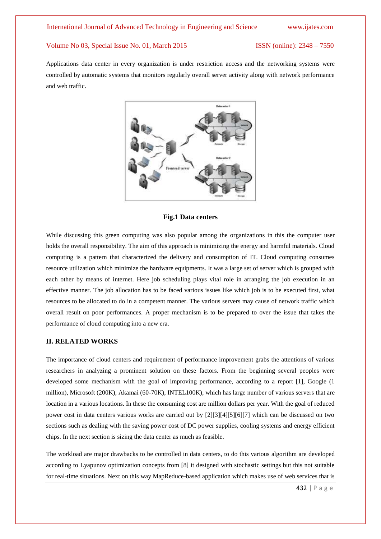Applications data center in every organization is under restriction access and the networking systems were controlled by automatic systems that monitors regularly overall server activity along with network performance and web traffic.



#### **Fig.1 Data centers**

While discussing this green computing was also popular among the organizations in this the computer user holds the overall responsibility. The aim of this approach is minimizing the energy and harmful materials. Cloud computing is a pattern that characterized the delivery and consumption of IT. Cloud computing consumes resource utilization which minimize the hardware equipments. It was a large set of server which is grouped with each other by means of internet. Here job scheduling plays vital role in arranging the job execution in an effective manner. The job allocation has to be faced various issues like which job is to be executed first, what resources to be allocated to do in a competent manner. The various servers may cause of network traffic which overall result on poor performances. A proper mechanism is to be prepared to over the issue that takes the performance of cloud computing into a new era.

#### **II. RELATED WORKS**

The importance of cloud centers and requirement of performance improvement grabs the attentions of various researchers in analyzing a prominent solution on these factors. From the beginning several peoples were developed some mechanism with the goal of improving performance, according to a report [1], Google (1 million), Microsoft (200K), Akamai (60-70K), INTEL100K), which has large number of various servers that are location in a various locations. In these the consuming cost are million dollars per year. With the goal of reduced power cost in data centers various works are carried out by [2][3][4][5][6][7] which can be discussed on two sections such as dealing with the saving power cost of DC power supplies, cooling systems and energy efficient chips. In the next section is sizing the data center as much as feasible.

The workload are major drawbacks to be controlled in data centers, to do this various algorithm are developed according to Lyapunov optimization concepts from [8] it designed with stochastic settings but this not suitable for real-time situations. Next on this way MapReduce-based application which makes use of web services that is

432 | P a g e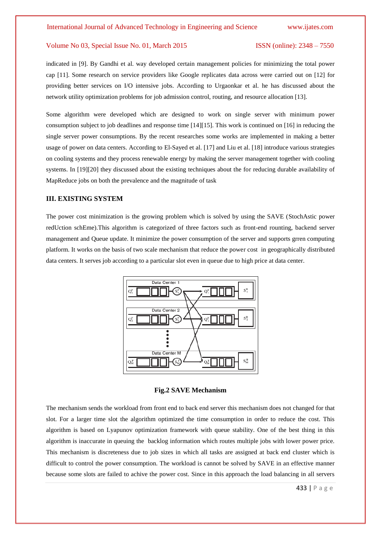indicated in [9]. By Gandhi et al. way developed certain management policies for minimizing the total power cap [11]. Some research on service providers like Google replicates data across were carried out on [12] for providing better services on I/O intensive jobs. According to Urgaonkar et al. he has discussed about the network utility optimization problems for job admission control, routing, and resource allocation [13].

Some algorithm were developed which are designed to work on single server with minimum power consumption subject to job deadlines and response time [14][15]. This work is continued on [16] in reducing the single server power consumptions. By the recent researches some works are implemented in making a better usage of power on data centers. According to El-Sayed et al. [17] and Liu et al. [18] introduce various strategies on cooling systems and they process renewable energy by making the server management together with cooling systems. In [19][20] they discussed about the existing techniques about the for reducing durable availability of MapReduce jobs on both the prevalence and the magnitude of task

#### **III. EXISTING SYSTEM**

The power cost minimization is the growing problem which is solved by using the SAVE (StochAstic power redUction schEme).This algorithm is categorized of three factors such as front-end rounting, backend server management and Queue update. It minimize the power consumption of the server and supports grren computing platform. It works on the basis of two scale mechanism that reduce the power cost in geographically distributed data centers. It serves job according to a particular slot even in queue due to high price at data center.



**Fig.2 SAVE Mechanism**

The mechanism sends the workload from front end to back end server this mechanism does not changed for that slot. For a larger time slot the algorithm optimized the time consumption in order to reduce the cost. This algorithm is based on Lyapunov optimization framework with queue stability. One of the best thing in this algorithm is inaccurate in queuing the backlog information which routes multiple jobs with lower power price. This mechanism is discreteness due to job sizes in which all tasks are assigned at back end cluster which is difficult to control the power consumption. The workload is cannot be solved by SAVE in an effective manner because some slots are failed to achive the power cost. Since in this approach the load balancing in all servers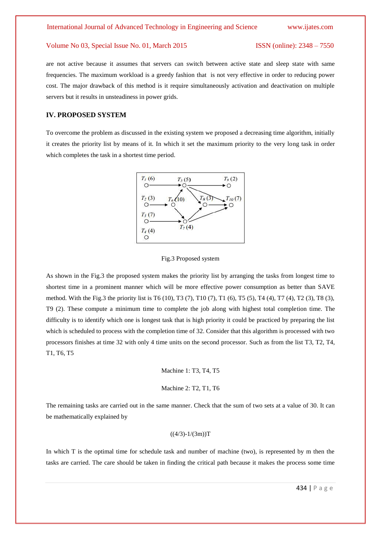are not active because it assumes that servers can switch between active state and sleep state with same frequencies. The maximum workload is a greedy fashion that is not very effective in order to reducing power cost. The major drawback of this method is it require simultaneously activation and deactivation on multiple servers but it results in unsteadiness in power grids.

#### **IV. PROPOSED SYSTEM**

To overcome the problem as discussed in the existing system we proposed a decreasing time algorithm, initially it creates the priority list by means of it. In which it set the maximum priority to the very long task in order which completes the task in a shortest time period.



#### Fig.3 Proposed system

As shown in the Fig.3 the proposed system makes the priority list by arranging the tasks from longest time to shortest time in a prominent manner which will be more effective power consumption as better than SAVE method. With the Fig.3 the priority list is T6 (10), T3 (7), T10 (7), T1 (6), T5 (5), T4 (4), T7 (4), T2 (3), T8 (3), T9 (2). These compute a minimum time to complete the job along with highest total completion time. The difficulty is to identify which one is longest task that is high priority it could be practiced by preparing the list which is scheduled to process with the completion time of 32. Consider that this algorithm is processed with two processors finishes at time 32 with only 4 time units on the second processor. Such as from the list T3, T2, T4, T1, T6, T5

Machine 1: T3, T4, T5

Machine 2: T2, T1, T6

The remaining tasks are carried out in the same manner. Check that the sum of two sets at a value of 30. It can be mathematically explained by

### $((4/3)-1/(3m))$ T

In which T is the optimal time for schedule task and number of machine (two), is represented by m then the tasks are carried. The care should be taken in finding the critical path because it makes the process some time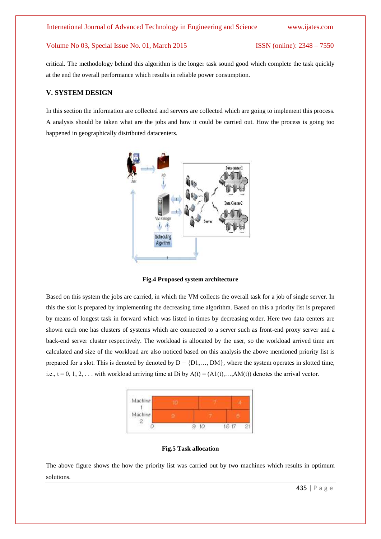critical. The methodology behind this algorithm is the longer task sound good which complete the task quickly at the end the overall performance which results in reliable power consumption.

### **V. SYSTEM DESIGN**

In this section the information are collected and servers are collected which are going to implement this process. A analysis should be taken what are the jobs and how it could be carried out. How the process is going too happened in geographically distributed datacenters.



**Fig.4 Proposed system architecture**

Based on this system the jobs are carried, in which the VM collects the overall task for a job of single server. In this the slot is prepared by implementing the decreasing time algorithm. Based on this a priority list is prepared by means of longest task in forward which was listed in times by decreasing order. Here two data centers are shown each one has clusters of systems which are connected to a server such as front-end proxy server and a back-end server cluster respectively. The workload is allocated by the user, so the workload arrived time are calculated and size of the workload are also noticed based on this analysis the above mentioned priority list is prepared for a slot. This is denoted by denoted by  $D = \{D1, ..., DM\}$ , where the system operates in slotted time, i.e.,  $t = 0, 1, 2, \ldots$  with workload arriving time at Di by  $A(t) = (A1(t), \ldots, AM(t))$  denotes the arrival vector.



#### **Fig.5 Task allocation**

The above figure shows the how the priority list was carried out by two machines which results in optimum solutions.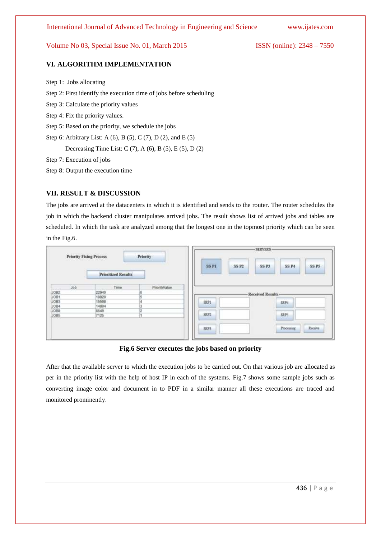### **VI. ALGORITHM IMPLEMENTATION**

Step 1: Jobs allocating Step 2: First identify the execution time of jobs before scheduling Step 3: Calculate the priority values Step 4: Fix the priority values. Step 5: Based on the priority, we schedule the jobs Step 6: Arbitrary List: A (6), B (5), C (7), D (2), and E (5) Decreasing Time List: C  $(7)$ , A  $(6)$ , B  $(5)$ , E  $(5)$ , D  $(2)$ Step 7: Execution of jobs Step 8: Output the execution time

### **VII. RESULT & DISCUSSION**

The jobs are arrived at the datacenters in which it is identified and sends to the router. The router schedules the job in which the backend cluster manipulates arrived jobs. The result shows list of arrived jobs and tables are scheduled. In which the task are analyzed among that the longest one in the topmost priority which can be seen in the Fig.6.

| <b>Priority Fixing Process</b><br>and a substance of the second part |                            | Priority      |                                  | -SERVERS-                                                              |
|----------------------------------------------------------------------|----------------------------|---------------|----------------------------------|------------------------------------------------------------------------|
|                                                                      | <b>Prioritized Results</b> |               | SS <sub>P1</sub><br><b>SS P2</b> | <b>SS P5</b><br>SS <sub>P3</sub><br><b>SS P4</b><br><b>START STORY</b> |
| <b>Job</b><br><b>Control</b>                                         | Time<br>201415             | PriorityValue |                                  |                                                                        |
| JOB3<br>1081                                                         | <b>STEPSIE</b><br>22940    |               |                                  | -Received Results-                                                     |
|                                                                      | 18820                      |               |                                  |                                                                        |
|                                                                      | 15598                      |               | SRP1                             | <b>SRP4</b>                                                            |
|                                                                      | 14804                      |               |                                  | <b>STATISTICS</b>                                                      |
| <b>JOB8</b>                                                          | 8649                       |               | <b>CONTRACTOR</b>                | <b>COLOR</b>                                                           |
| JOB5                                                                 | 7125                       |               | SRP2                             | SRPS                                                                   |
|                                                                      |                            |               | SRP3                             | Receive<br><b>Processing</b>                                           |

#### **Fig.6 Server executes the jobs based on priority**

After that the available server to which the execution jobs to be carried out. On that various job are allocated as per in the priority list with the help of host IP in each of the systems. Fig.7 shows some sample jobs such as converting image color and document in to PDF in a similar manner all these executions are traced and monitored prominently.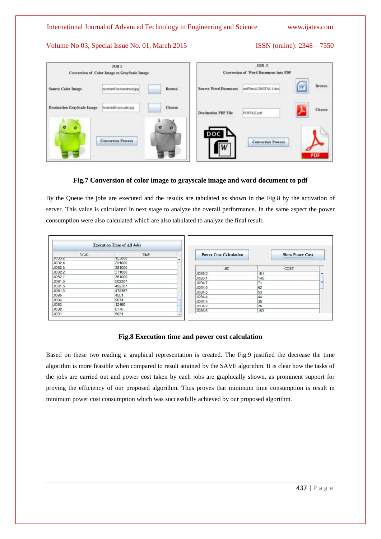### International Journal of Advanced Technology in Engineering and Science [www.ijates.com](http://www.ijates.com/)

### Volume No 03, Special Issue No. 01, March 2015 ISSN (online): 2348 – 7550

| JOB <sub>1</sub><br>Conversion of Color Image to GrayScale Image |                     | JOB <sub>2</sub><br>Conversion of Word Document into PDF   |                           |                                 |
|------------------------------------------------------------------|---------------------|------------------------------------------------------------|---------------------------|---------------------------------|
| <b>Source Color Image</b><br>duction/Files/android.jpg           | Browse              | <b>Source Word Document</b>                                | on/Flies/LONGTAIL1.doc/   | Browse<br>W                     |
| Destination GrayScale Image<br>AndroidGrayscale.jpg              | Choose              | <b>Destination PDF File</b><br><b>STATISTICS</b> AND PAINT | PDFFILE.pdf               | Choose <sup>1</sup><br>alleman. |
| $\bullet$<br>$\bullet$<br><b>Conversion Process</b>              | $\circ$<br>$\alpha$ | DC                                                         | <b>Conversion Process</b> | PDF                             |

### **Fig.7 Conversion of color image to grayscale image and word document to pdf**

By the Queue the jobs are executed and the results are tabulated as shown in the Fig.8 by the activation of server. This value is calculated in next stage to analyze the overall performance. In the same aspect the power consumption were also calculated which are also tabulated to analyze the final result.

|                  | <b>Execution Time of All Jobs</b> |   |
|------------------|-----------------------------------|---|
| <b>DCID</b>      | <b>TIME</b>                       |   |
| JUB3.Z           | 153000                            | ۰ |
| JOB2 4           | 391000                            |   |
| JOB2.3           | 381000                            |   |
| JOB2 2           | 371000                            |   |
| <b>JOB2 1</b>    | 361000                            |   |
| <b>JOB1.6</b>    | 502367                            |   |
| JOB1.5           | 492367                            |   |
| JOB1.3           | 472367                            |   |
| JOB5             | 4551                              |   |
| JOB4             | 9874                              |   |
| JOB <sub>3</sub> | 12459                             | ₹ |
| JOB <sub>2</sub> | 6776                              |   |
| JOB1             | 5031                              | ٠ |

| <b>Power Cost Calculation</b> |      | <b>Show Power Cost</b> |  |
|-------------------------------|------|------------------------|--|
| <b>JID</b>                    | COST |                        |  |
| JOB5.2                        | 151  |                        |  |
| JOB5 1                        | 145  |                        |  |
| JOB4.7                        | 71   | 三                      |  |
| JOB4.6                        | 62   |                        |  |
| JOB4.5                        | 53   |                        |  |
| JOB4.4                        | 44   |                        |  |
| JOB4.3                        | 35   |                        |  |
| JOB4 2                        | 26   |                        |  |
| JOB3.6                        | 153  |                        |  |

#### **Fig.8 Execution time and power cost calculation**

Based on these two reading a graphical representation is created. The Fig.9 justified the decrease the time algorithm is more feasible when compared to result attained by the SAVE algorithm. It is clear how the tasks of the jobs are carried out and power cost taken by each jobs are graphically shown, as prominent support for proving the efficiency of our proposed algorithm. Thus proves that minimum time consumption is result in minimum power cost consumption which was successfully achieved by our proposed algorithm.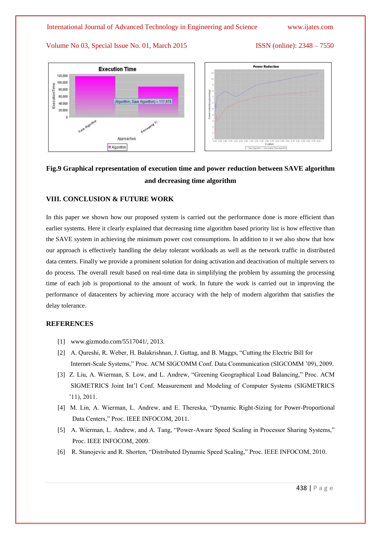

## **Fig.9 Graphical representation of execution time and power reduction between SAVE algorithm and decreasing time algorithm**

#### **VIII. CONCLUSION & FUTURE WORK**

In this paper we shown how our proposed system is carried out the performance done is more efficient than earlier systems. Here it clearly explained that decreasing time algorithm based priority list is how effective than the SAVE system in achieving the minimum power cost consumptions. In addition to it we also show that how our approach is effectively handling the delay tolerant workloads as well as the network traffic in distributed data centers. Finally we provide a prominent solution for doing activation and deactivation of multiple servers to do process. The overall result based on real-time data in simplifying the problem by assuming the processing time of each job is proportional to the amount of work. In future the work is carried out in improving the performance of datacenters by achieving more accuracy with the help of modern algorithm that satisfies the delay tolerance.

#### **REFERENCES**

- [1] www.gizmodo.com/5517041/, 2013.
- [2] A. Qureshi, R. Weber, H. Balakrishnan, J. Guttag, and B. Maggs, "Cutting the Electric Bill for Internet-Scale Systems," Proc. ACM SIGCOMM Conf. Data Communication (SIGCOMM '09), 2009.
- [3] Z. Liu, A. Wierman, S. Low, and L. Andrew, "Greening Geographical Load Balancing," Proc. ACM SIGMETRICS Joint Int'l Conf. Measurement and Modeling of Computer Systems (SIGMETRICS '11), 2011.
- [4] M. Lin, A. Wierman, L. Andrew, and E. Thereska, "Dynamic Right-Sizing for Power-Proportional Data Centers," Proc. IEEE INFOCOM, 2011.
- [5] A. Wierman, L. Andrew, and A. Tang, "Power-Aware Speed Scaling in Processor Sharing Systems," Proc. IEEE INFOCOM, 2009.
- [6] R. Stanojevic and R. Shorten, "Distributed Dynamic Speed Scaling," Proc. IEEE INFOCOM, 2010.